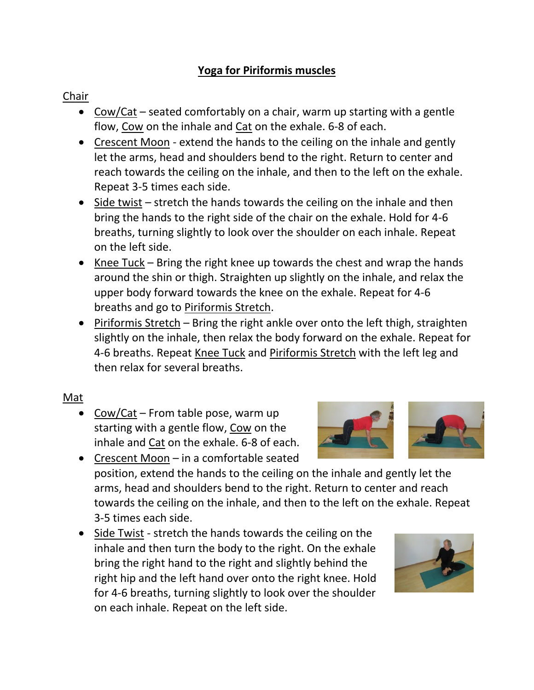## **Yoga for Piriformis muscles**

## Chair

- Cow/Cat seated comfortably on a chair, warm up starting with a gentle flow, Cow on the inhale and Cat on the exhale. 6-8 of each.
- Crescent Moon extend the hands to the ceiling on the inhale and gently let the arms, head and shoulders bend to the right. Return to center and reach towards the ceiling on the inhale, and then to the left on the exhale. Repeat 3-5 times each side.
- $\bullet$  Side twist stretch the hands towards the ceiling on the inhale and then bring the hands to the right side of the chair on the exhale. Hold for 4-6 breaths, turning slightly to look over the shoulder on each inhale. Repeat on the left side.
- $\bullet$  Knee Tuck Bring the right knee up towards the chest and wrap the hands around the shin or thigh. Straighten up slightly on the inhale, and relax the upper body forward towards the knee on the exhale. Repeat for 4-6 breaths and go to Piriformis Stretch.
- Piriformis Stretch Bring the right ankle over onto the left thigh, straighten slightly on the inhale, then relax the body forward on the exhale. Repeat for 4-6 breaths. Repeat Knee Tuck and Piriformis Stretch with the left leg and then relax for several breaths.

## Mat

• Cow/Cat – From table pose, warm up starting with a gentle flow, Cow on the inhale and Cat on the exhale. 6-8 of each. • Crescent Moon – in a comfortable seated



position, extend the hands to the ceiling on the inhale and gently let the arms, head and shoulders bend to the right. Return to center and reach towards the ceiling on the inhale, and then to the left on the exhale. Repeat 3-5 times each side.

• Side Twist - stretch the hands towards the ceiling on the inhale and then turn the body to the right. On the exhale bring the right hand to the right and slightly behind the right hip and the left hand over onto the right knee. Hold for 4-6 breaths, turning slightly to look over the shoulder on each inhale. Repeat on the left side.